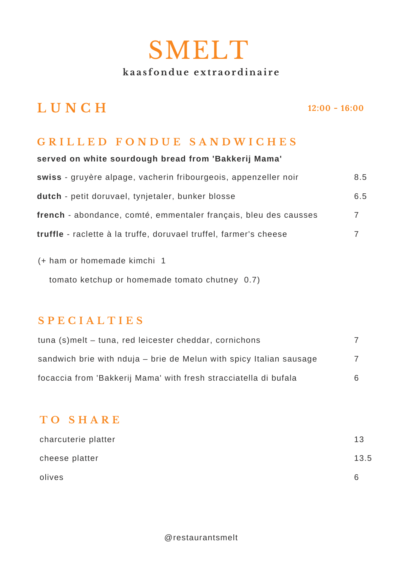# SMELT **ka a s fo n d u e ext r aordi n a i r e**

# **L U N C H**

**12:00 - 16:00**

#### **G R I L L E D F O N D U E S A N D W I C H E S**

| served on white sourdough bread from 'Bakkerij Mama'              |     |
|-------------------------------------------------------------------|-----|
| swiss - gruyère alpage, vacherin fribourgeois, appenzeller noir   | 8.5 |
| dutch - petit doruvael, tynjetaler, bunker blosse                 | 6.5 |
| french - abondance, comté, emmentaler français, bleu des causses  | 7   |
| truffle - raclette à la truffe, doruvael truffel, farmer's cheese | 7   |
|                                                                   |     |

(+ ham or homemade kimchi 1

tomato ketchup or homemade tomato chutney 0.7)

#### **S P E C I A L T I E S**

| tuna (s)melt – tuna, red leicester cheddar, cornichons              |    |
|---------------------------------------------------------------------|----|
| sandwich brie with nduja – brie de Melun with spicy Italian sausage |    |
| focaccia from 'Bakkerij Mama' with fresh stracciatella di bufala    | 6. |

### **T O S H A R E**

| charcuterie platter | 13   |
|---------------------|------|
| cheese platter      | 13.5 |
| olives              | h    |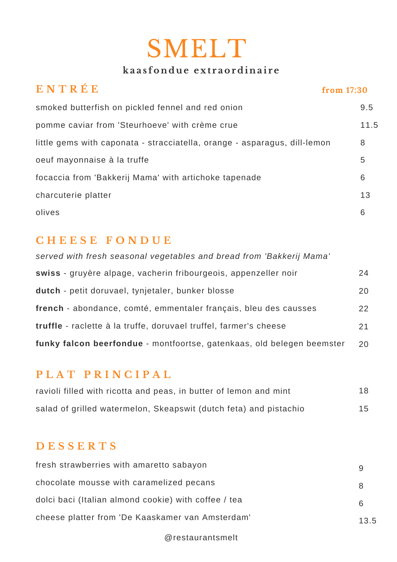# SMELT

## **ka a s fo n d u e ext r aordi n a i r e**

| ENTRÉE                                                                    | from $17:30$ |      |
|---------------------------------------------------------------------------|--------------|------|
| smoked butterfish on pickled fennel and red onion                         |              | 9.5  |
| pomme caviar from 'Steurhoeve' with crème crue                            |              | 11.5 |
| little gems with caponata - stracciatella, orange - asparagus, dill-lemon |              | 8    |
| oeuf mayonnaise à la truffe                                               |              | 5    |
| focaccia from 'Bakkerij Mama' with artichoke tapenade                     |              | 6    |
| charcuterie platter                                                       |              | 13   |
| olives                                                                    |              | 6    |

## **C H E E S E F O N D U E**

| served with fresh seasonal vegetables and bread from 'Bakkerij Mama'   |    |
|------------------------------------------------------------------------|----|
| swiss - gruyère alpage, vacherin fribourgeois, appenzeller noir        | 24 |
| dutch - petit doruvael, tynjetaler, bunker blosse                      | 20 |
| french - abondance, comté, emmentaler français, bleu des causses       | 22 |
| truffle - raclette à la truffe, doruvael truffel, farmer's cheese      | 21 |
| funky falcon beerfondue - montfoortse, gatenkaas, old belegen beemster | 20 |

#### **P L A T P R I N C I P A L**

| ravioli filled with ricotta and peas, in butter of lemon and mint | 18 |
|-------------------------------------------------------------------|----|
| salad of grilled watermelon, Skeapswit (dutch feta) and pistachio |    |

## **D E S S E R T S**

| fresh strawberries with amaretto sabayon             |      |
|------------------------------------------------------|------|
| chocolate mousse with caramelized pecans             | 8    |
| dolci baci (Italian almond cookie) with coffee / tea |      |
| cheese platter from 'De Kaaskamer van Amsterdam'     | 13.5 |

@restaurantsmelt